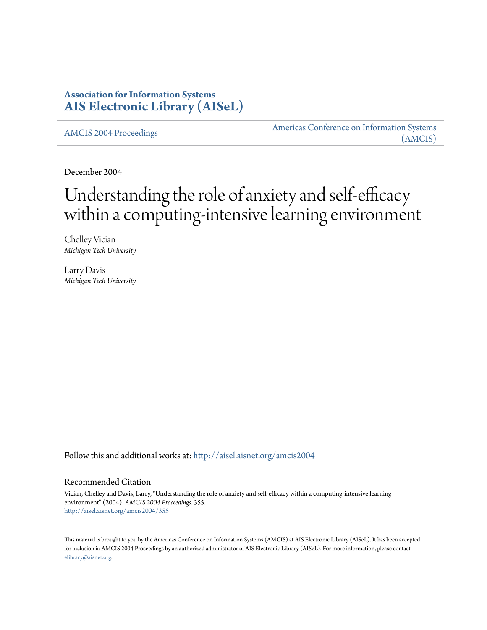### **Association for Information Systems [AIS Electronic Library \(AISeL\)](http://aisel.aisnet.org?utm_source=aisel.aisnet.org%2Famcis2004%2F355&utm_medium=PDF&utm_campaign=PDFCoverPages)**

[AMCIS 2004 Proceedings](http://aisel.aisnet.org/amcis2004?utm_source=aisel.aisnet.org%2Famcis2004%2F355&utm_medium=PDF&utm_campaign=PDFCoverPages)

[Americas Conference on Information Systems](http://aisel.aisnet.org/amcis?utm_source=aisel.aisnet.org%2Famcis2004%2F355&utm_medium=PDF&utm_campaign=PDFCoverPages) [\(AMCIS\)](http://aisel.aisnet.org/amcis?utm_source=aisel.aisnet.org%2Famcis2004%2F355&utm_medium=PDF&utm_campaign=PDFCoverPages)

December 2004

# Understanding the role of anxiety and self-efficacy within a computing-intensive learning environment

Chelley Vician *Michigan Tech University*

Larry Davis *Michigan Tech University*

Follow this and additional works at: [http://aisel.aisnet.org/amcis2004](http://aisel.aisnet.org/amcis2004?utm_source=aisel.aisnet.org%2Famcis2004%2F355&utm_medium=PDF&utm_campaign=PDFCoverPages)

#### Recommended Citation

Vician, Chelley and Davis, Larry, "Understanding the role of anxiety and self-efficacy within a computing-intensive learning environment" (2004). *AMCIS 2004 Proceedings*. 355. [http://aisel.aisnet.org/amcis2004/355](http://aisel.aisnet.org/amcis2004/355?utm_source=aisel.aisnet.org%2Famcis2004%2F355&utm_medium=PDF&utm_campaign=PDFCoverPages)

This material is brought to you by the Americas Conference on Information Systems (AMCIS) at AIS Electronic Library (AISeL). It has been accepted for inclusion in AMCIS 2004 Proceedings by an authorized administrator of AIS Electronic Library (AISeL). For more information, please contact [elibrary@aisnet.org.](mailto:elibrary@aisnet.org%3E)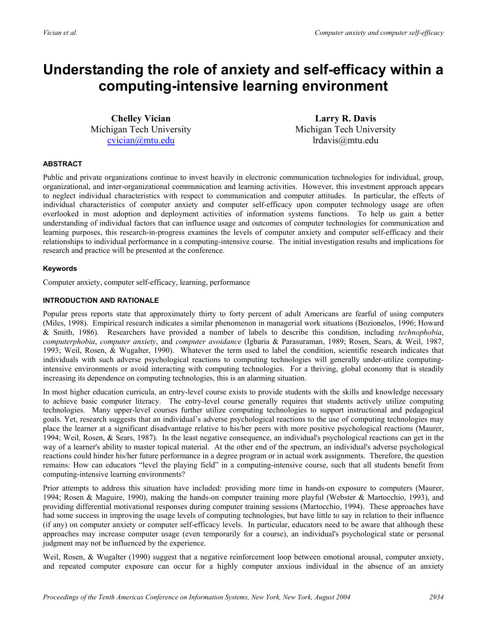## **Understanding the role of anxiety and self-efficacy within a computing-intensive learning environment**

**Chelley Vician**  Michigan Tech University cvician@mtu.edu

**Larry R. Davis**  Michigan Tech University lrdavis@mtu.edu

#### **ABSTRACT**

Public and private organizations continue to invest heavily in electronic communication technologies for individual, group, organizational, and inter-organizational communication and learning activities. However, this investment approach appears to neglect individual characteristics with respect to communication and computer attitudes. In particular, the effects of individual characteristics of computer anxiety and computer self-efficacy upon computer technology usage are often overlooked in most adoption and deployment activities of information systems functions. To help us gain a better understanding of individual factors that can influence usage and outcomes of computer technologies for communication and learning purposes, this research-in-progress examines the levels of computer anxiety and computer self-efficacy and their relationships to individual performance in a computing-intensive course. The initial investigation results and implications for research and practice will be presented at the conference.

#### **Keywords**

Computer anxiety, computer self-efficacy, learning, performance

#### **INTRODUCTION AND RATIONALE**

Popular press reports state that approximately thirty to forty percent of adult Americans are fearful of using computers (Miles, 1998). Empirical research indicates a similar phenomenon in managerial work situations (Bozionelos, 1996; Howard & Smith, 1986). Researchers have provided a number of labels to describe this condition, including *technophobia*, *computerphobia*, *computer anxiety*, and *computer avoidance* (Igbaria & Parasuraman, 1989; Rosen, Sears, & Weil, 1987, 1993; Weil, Rosen, & Wugalter, 1990). Whatever the term used to label the condition, scientific research indicates that individuals with such adverse psychological reactions to computing technologies will generally under-utilize computingintensive environments or avoid interacting with computing technologies. For a thriving, global economy that is steadily increasing its dependence on computing technologies, this is an alarming situation.

In most higher education curricula, an entry-level course exists to provide students with the skills and knowledge necessary to achieve basic computer literacy. The entry-level course generally requires that students actively utilize computing technologies. Many upper-level courses further utilize computing technologies to support instructional and pedagogical goals. Yet, research suggests that an individual's adverse psychological reactions to the use of computing technologies may place the learner at a significant disadvantage relative to his/her peers with more positive psychological reactions (Maurer, 1994; Weil, Rosen, & Sears, 1987). In the least negative consequence, an individual's psychological reactions can get in the way of a learner's ability to master topical material. At the other end of the spectrum, an individual's adverse psychological reactions could hinder his/her future performance in a degree program or in actual work assignments. Therefore, the question remains: How can educators "level the playing field" in a computing-intensive course, such that all students benefit from computing-intensive learning environments?

Prior attempts to address this situation have included: providing more time in hands-on exposure to computers (Maurer, 1994; Rosen & Maguire, 1990), making the hands-on computer training more playful (Webster & Martocchio, 1993), and providing differential motivational responses during computer training sessions (Martocchio, 1994). These approaches have had some success in improving the usage levels of computing technologies, but have little to say in relation to their influence (if any) on computer anxiety or computer self-efficacy levels. In particular, educators need to be aware that although these approaches may increase computer usage (even temporarily for a course), an individual's psychological state or personal judgment may not be influenced by the experience.

Weil, Rosen, & Wugalter (1990) suggest that a negative reinforcement loop between emotional arousal, computer anxiety, and repeated computer exposure can occur for a highly computer anxious individual in the absence of an anxiety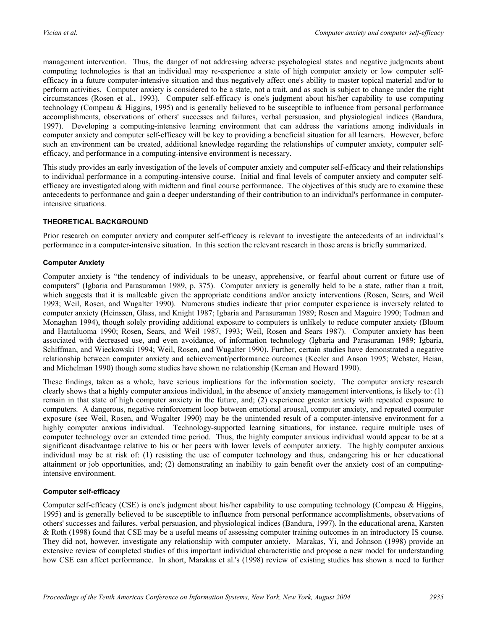management intervention. Thus, the danger of not addressing adverse psychological states and negative judgments about computing technologies is that an individual may re-experience a state of high computer anxiety or low computer selfefficacy in a future computer-intensive situation and thus negatively affect one's ability to master topical material and/or to perform activities. Computer anxiety is considered to be a state, not a trait, and as such is subject to change under the right circumstances (Rosen et al., 1993). Computer self-efficacy is one's judgment about his/her capability to use computing technology (Compeau & Higgins, 1995) and is generally believed to be susceptible to influence from personal performance accomplishments, observations of others' successes and failures, verbal persuasion, and physiological indices (Bandura, 1997). Developing a computing-intensive learning environment that can address the variations among individuals in computer anxiety and computer self-efficacy will be key to providing a beneficial situation for all learners. However, before such an environment can be created, additional knowledge regarding the relationships of computer anxiety, computer selfefficacy, and performance in a computing-intensive environment is necessary.

This study provides an early investigation of the levels of computer anxiety and computer self-efficacy and their relationships to individual performance in a computing-intensive course. Initial and final levels of computer anxiety and computer selfefficacy are investigated along with midterm and final course performance. The objectives of this study are to examine these antecedents to performance and gain a deeper understanding of their contribution to an individual's performance in computerintensive situations.

#### **THEORETICAL BACKGROUND**

Prior research on computer anxiety and computer self-efficacy is relevant to investigate the antecedents of an individual's performance in a computer-intensive situation. In this section the relevant research in those areas is briefly summarized.

#### **Computer Anxiety**

Computer anxiety is "the tendency of individuals to be uneasy, apprehensive, or fearful about current or future use of computers" (Igbaria and Parasuraman 1989, p. 375). Computer anxiety is generally held to be a state, rather than a trait, which suggests that it is malleable given the appropriate conditions and/or anxiety interventions (Rosen, Sears, and Weil 1993; Weil, Rosen, and Wugalter 1990). Numerous studies indicate that prior computer experience is inversely related to computer anxiety (Heinssen, Glass, and Knight 1987; Igbaria and Parasuraman 1989; Rosen and Maguire 1990; Todman and Monaghan 1994), though solely providing additional exposure to computers is unlikely to reduce computer anxiety (Bloom and Hautaluoma 1990; Rosen, Sears, and Weil 1987, 1993; Weil, Rosen and Sears 1987). Computer anxiety has been associated with decreased use, and even avoidance, of information technology (Igbaria and Parasuraman 1989; Igbaria, Schiffman, and Wieckowski 1994; Weil, Rosen, and Wugalter 1990). Further, certain studies have demonstrated a negative relationship between computer anxiety and achievement/performance outcomes (Keeler and Anson 1995; Webster, Heian, and Michelman 1990) though some studies have shown no relationship (Kernan and Howard 1990).

These findings, taken as a whole, have serious implications for the information society. The computer anxiety research clearly shows that a highly computer anxious individual, in the absence of anxiety management interventions, is likely to: (1) remain in that state of high computer anxiety in the future, and; (2) experience greater anxiety with repeated exposure to computers. A dangerous, negative reinforcement loop between emotional arousal, computer anxiety, and repeated computer exposure (see Weil, Rosen, and Wugalter 1990) may be the unintended result of a computer-intensive environment for a highly computer anxious individual. Technology-supported learning situations, for instance, require multiple uses of computer technology over an extended time period. Thus, the highly computer anxious individual would appear to be at a significant disadvantage relative to his or her peers with lower levels of computer anxiety. The highly computer anxious individual may be at risk of: (1) resisting the use of computer technology and thus, endangering his or her educational attainment or job opportunities, and; (2) demonstrating an inability to gain benefit over the anxiety cost of an computingintensive environment.

#### **Computer self-efficacy**

Computer self-efficacy (CSE) is one's judgment about his/her capability to use computing technology (Compeau & Higgins, 1995) and is generally believed to be susceptible to influence from personal performance accomplishments, observations of others' successes and failures, verbal persuasion, and physiological indices (Bandura, 1997). In the educational arena, Karsten & Roth (1998) found that CSE may be a useful means of assessing computer training outcomes in an introductory IS course. They did not, however, investigate any relationship with computer anxiety. Marakas, Yi, and Johnson (1998) provide an extensive review of completed studies of this important individual characteristic and propose a new model for understanding how CSE can affect performance. In short, Marakas et al.'s (1998) review of existing studies has shown a need to further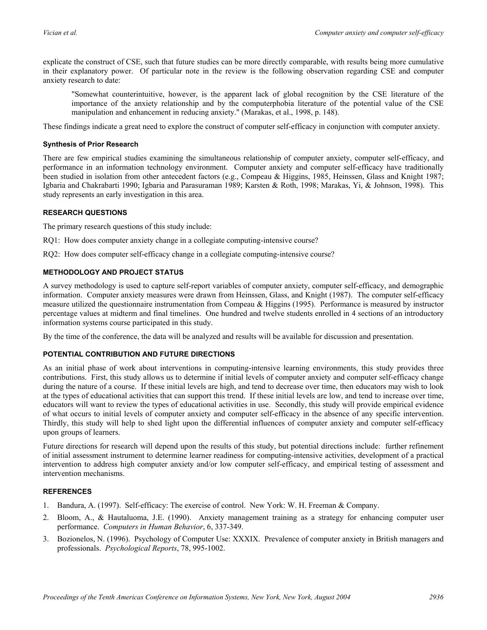explicate the construct of CSE, such that future studies can be more directly comparable, with results being more cumulative in their explanatory power. Of particular note in the review is the following observation regarding CSE and computer anxiety research to date:

"Somewhat counterintuitive, however, is the apparent lack of global recognition by the CSE literature of the importance of the anxiety relationship and by the computerphobia literature of the potential value of the CSE manipulation and enhancement in reducing anxiety." (Marakas, et al., 1998, p. 148).

These findings indicate a great need to explore the construct of computer self-efficacy in conjunction with computer anxiety.

#### **Synthesis of Prior Research**

There are few empirical studies examining the simultaneous relationship of computer anxiety, computer self-efficacy, and performance in an information technology environment. Computer anxiety and computer self-efficacy have traditionally been studied in isolation from other antecedent factors (e.g., Compeau & Higgins, 1985, Heinssen, Glass and Knight 1987; Igbaria and Chakrabarti 1990; Igbaria and Parasuraman 1989; Karsten & Roth, 1998; Marakas, Yi, & Johnson, 1998). This study represents an early investigation in this area.

#### **RESEARCH QUESTIONS**

The primary research questions of this study include:

- RQ1: How does computer anxiety change in a collegiate computing-intensive course?
- RQ2: How does computer self-efficacy change in a collegiate computing-intensive course?

#### **METHODOLOGY AND PROJECT STATUS**

A survey methodology is used to capture self-report variables of computer anxiety, computer self-efficacy, and demographic information. Computer anxiety measures were drawn from Heinssen, Glass, and Knight (1987). The computer self-efficacy measure utilized the questionnaire instrumentation from Compeau & Higgins (1995). Performance is measured by instructor percentage values at midterm and final timelines. One hundred and twelve students enrolled in 4 sections of an introductory information systems course participated in this study.

By the time of the conference, the data will be analyzed and results will be available for discussion and presentation.

#### **POTENTIAL CONTRIBUTION AND FUTURE DIRECTIONS**

As an initial phase of work about interventions in computing-intensive learning environments, this study provides three contributions. First, this study allows us to determine if initial levels of computer anxiety and computer self-efficacy change during the nature of a course. If these initial levels are high, and tend to decrease over time, then educators may wish to look at the types of educational activities that can support this trend. If these initial levels are low, and tend to increase over time, educators will want to review the types of educational activities in use. Secondly, this study will provide empirical evidence of what occurs to initial levels of computer anxiety and computer self-efficacy in the absence of any specific intervention. Thirdly, this study will help to shed light upon the differential influences of computer anxiety and computer self-efficacy upon groups of learners.

Future directions for research will depend upon the results of this study, but potential directions include: further refinement of initial assessment instrument to determine learner readiness for computing-intensive activities, development of a practical intervention to address high computer anxiety and/or low computer self-efficacy, and empirical testing of assessment and intervention mechanisms.

#### **REFERENCES**

- 1. Bandura, A. (1997). Self-efficacy: The exercise of control. New York: W. H. Freeman & Company.
- 2. Bloom, A., & Hautaluoma, J.E. (1990). Anxiety management training as a strategy for enhancing computer user performance. *Computers in Human Behavior*, 6, 337-349.
- 3. Bozionelos, N. (1996). Psychology of Computer Use: XXXIX. Prevalence of computer anxiety in British managers and professionals. *Psychological Reports*, 78, 995-1002.